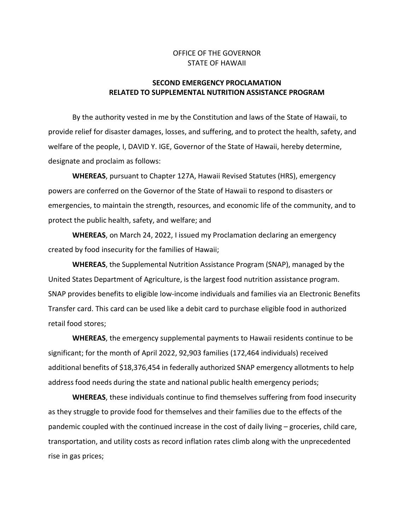## OFFICE OF THE GOVERNOR STATE OF HAWAII

## **SECOND EMERGENCY PROCLAMATION RELATED TO SUPPLEMENTAL NUTRITION ASSISTANCE PROGRAM**

By the authority vested in me by the Constitution and laws of the State of Hawaii, to provide relief for disaster damages, losses, and suffering, and to protect the health, safety, and welfare of the people, I, DAVID Y. IGE, Governor of the State of Hawaii, hereby determine, designate and proclaim as follows:

**WHEREAS**, pursuant to Chapter 127A, Hawaii Revised Statutes (HRS), emergency powers are conferred on the Governor of the State of Hawaii to respond to disasters or emergencies, to maintain the strength, resources, and economic life of the community, and to protect the public health, safety, and welfare; and

**WHEREAS**, on March 24, 2022, I issued my Proclamation declaring an emergency created by food insecurity for the families of Hawaii;

**WHEREAS**, the Supplemental Nutrition Assistance Program (SNAP), managed by the United States Department of Agriculture, is the largest food nutrition assistance program. SNAP provides benefits to eligible low-income individuals and families via an Electronic Benefits Transfer card. This card can be used like a debit card to purchase eligible food in authorized retail food stores;

**WHEREAS**, the emergency supplemental payments to Hawaii residents continue to be significant; for the month of April 2022, 92,903 families (172,464 individuals) received additional benefits of \$18,376,454 in federally authorized SNAP emergency allotments to help address food needs during the state and national public health emergency periods;

**WHEREAS**, these individuals continue to find themselves suffering from food insecurity as they struggle to provide food for themselves and their families due to the effects of the pandemic coupled with the continued increase in the cost of daily living – groceries, child care, transportation, and utility costs as record inflation rates climb along with the unprecedented rise in gas prices;